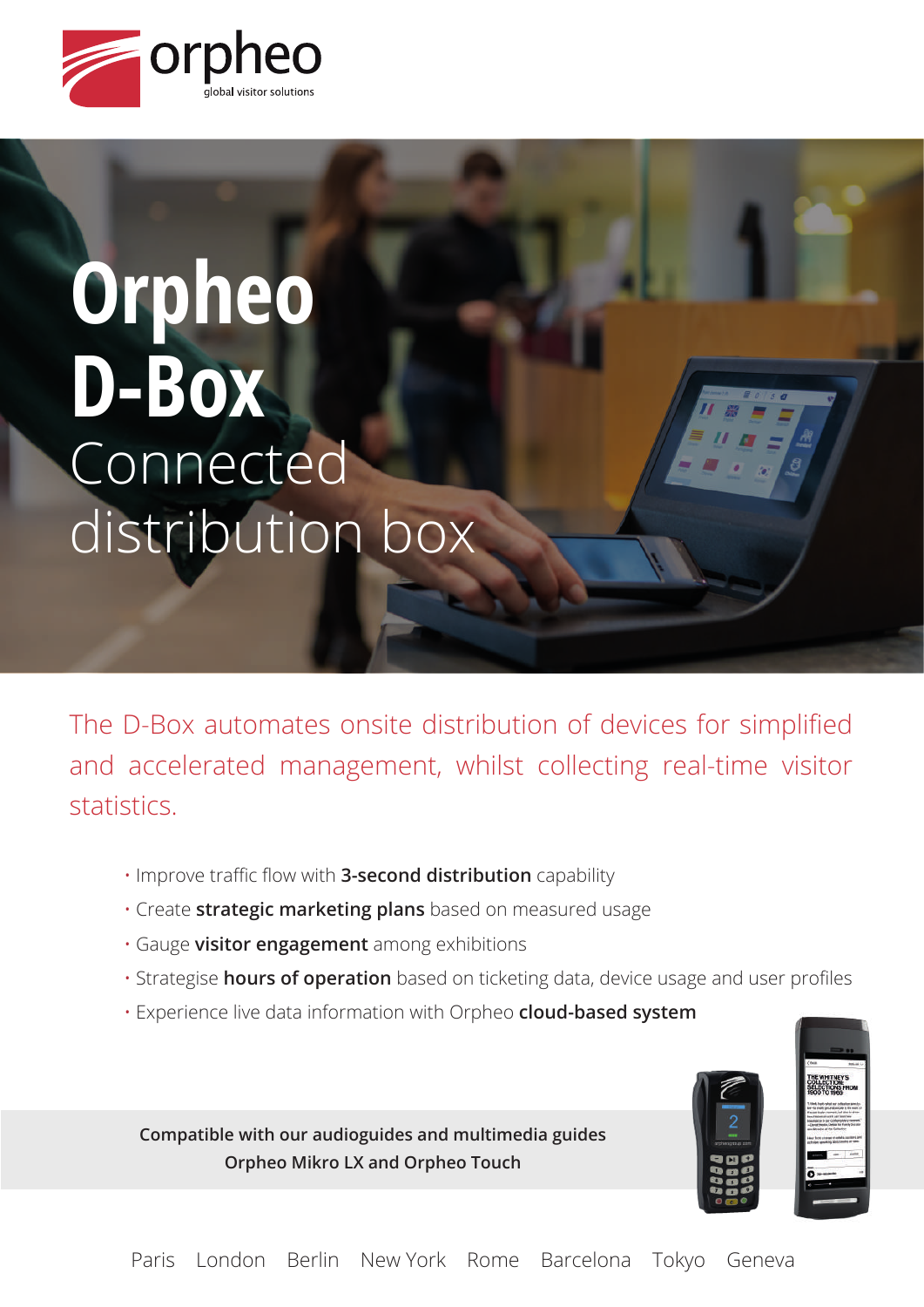

# **Orpheo D-Box** Connected distribution box

The D-Box automates onsite distribution of devices for simplified and accelerated management, whilst collecting real-time visitor statistics.

- **· Improve traffic flow with 3-second distribution** capability
- **:** Create **strategic marketing plans** based on measured usage
- ï Gauge **visitor engagement** among exhibitions
- **· Strategise hours of operation** based on ticketing data, device usage and user profiles
- ï Experience live data information with Orpheo **cloud-based system**



**Compatible with our audioguides and multimedia guides Orpheo Mikro LX and Orpheo Touch**